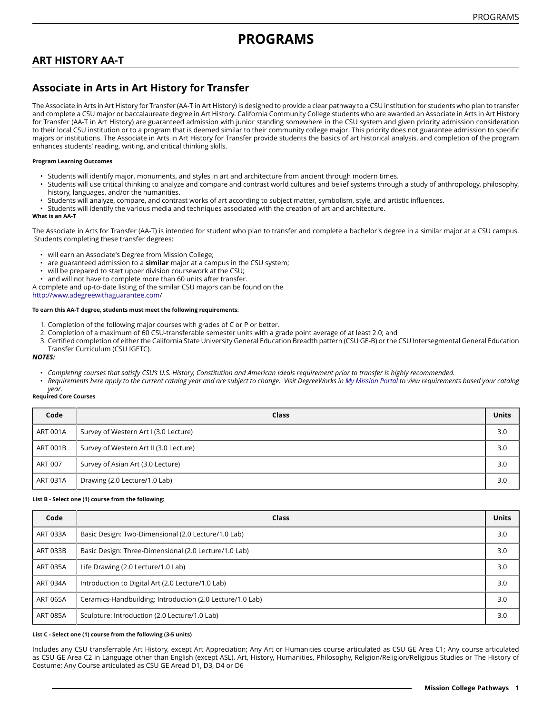# **PROGRAMS**

## **ART HISTORY AA-T**

# **Associate in Arts in Art History for Transfer**

The Associate in Arts in Art History for Transfer (AA-T in Art History) is designed to provide a clear pathway to a CSU institution for students who plan to transfer and complete a CSU major or baccalaureate degree in Art History. California Community College students who are awarded an Associate in Arts in Art History for Transfer (AA-T in Art History) are guaranteed admission with junior standing somewhere in the CSU system and given priority admission consideration to their local CSU institution or to a program that is deemed similar to their community college major. This priority does not guarantee admission to specific majors or institutions. The Associate in Arts in Art History for Transfer provide students the basics of art historical analysis, and completion of the program enhances students' reading, writing, and critical thinking skills.

#### **Program Learning Outcomes**

- Students will identify major, monuments, and styles in art and architecture from ancient through modern times.
- Students will use critical thinking to analyze and compare and contrast world cultures and belief systems through a study of anthropology, philosophy, history, languages, and/or the humanities.
- Students will analyze, compare, and contrast works of art according to subject matter, symbolism, style, and artistic influences.
- Students will identify the various media and techniques associated with the creation of art and architecture.

#### **What is an AA-T**

The Associate in Arts for Transfer (AA-T) is intended for student who plan to transfer and complete a bachelor's degree in a similar major at a CSU campus. Students completing these transfer degrees:

- will earn an Associate's Degree from Mission College;
- are guaranteed admission to a **similar** major at a campus in the CSU system;
- will be prepared to start upper division coursework at the CSU;
- and will not have to complete more than 60 units after transfer.

A complete and up-to-date listing of the similar CSU majors can be found on the [http://www.adegreewithaguarantee.com](http://www.adegreewithaguarantee.com/)/

#### **To earn this AA-T degree, students must meet the following requirements:**

- 1. Completion of the following major courses with grades of C or P or better.
- 2. Completion of a maximum of 60 CSU-transferable semester units with a grade point average of at least 2.0; and
- 3. Certified completion of either the California State University General Education Breadth pattern (CSU GE-B) or the CSU Intersegmental General Education Transfer Curriculum (CSU IGETC).

#### *NOTES:*

- Completing courses that satisfy CSU's U.S. History, Constitution and American Ideals requirement prior to transfer is highly recommended.
- Requirements here apply to the current catalog year and are subject to change. Visit DegreeWorks in [My Mission Portal](https://wvmccd.sharepoint.com/sites/MCPortal) to view requirements based your catalog *year.*

#### **Required Core Courses**

| Code            | Class                                  | <b>Units</b> |
|-----------------|----------------------------------------|--------------|
| <b>ART 001A</b> | Survey of Western Art I (3.0 Lecture)  | 3.0          |
| <b>ART 001B</b> | Survey of Western Art II (3.0 Lecture) | 3.0          |
| <b>ART 007</b>  | Survey of Asian Art (3.0 Lecture)      | 3.0          |
| ART 031A        | Drawing (2.0 Lecture/1.0 Lab)          | 3.0          |

#### **List B - Select one (1) course from the following:**

| Code            | Class                                                     | <b>Units</b> |
|-----------------|-----------------------------------------------------------|--------------|
| ART 033A        | Basic Design: Two-Dimensional (2.0 Lecture/1.0 Lab)       | 3.0          |
| <b>ART 033B</b> | Basic Design: Three-Dimensional (2.0 Lecture/1.0 Lab)     | 3.0          |
| <b>ART 035A</b> | Life Drawing (2.0 Lecture/1.0 Lab)                        | 3.0          |
| <b>ART 034A</b> | Introduction to Digital Art (2.0 Lecture/1.0 Lab)         | 3.0          |
| <b>ART 065A</b> | Ceramics-Handbuilding: Introduction (2.0 Lecture/1.0 Lab) | 3.0          |
| <b>ART 085A</b> | Sculpture: Introduction (2.0 Lecture/1.0 Lab)             | 3.0          |

#### **List C - Select one (1) course from the following (3-5 units)**

Includes any CSU transferrable Art History, except Art Appreciation; Any Art or Humanities course articulated as CSU GE Area C1; Any course articulated as CSU GE Area C2 in Language other than English (except ASL). Art, History, Humanities, Philosophy, Religion/Religion/Religious Studies or The History of Costume; Any Course articulated as CSU GE Aread D1, D3, D4 or D6